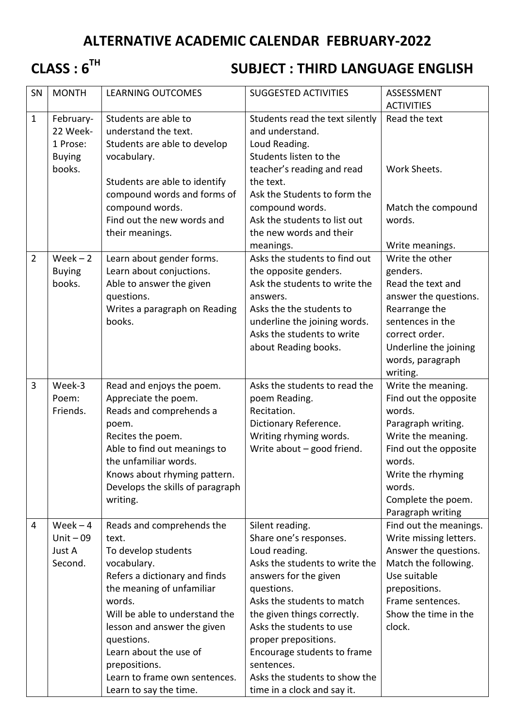# **ALTERNATIVE ACADEMIC CALENDAR FEBRUARY-2022**

# **CLASS : 6TH**

# **SUBJECT : THIRD LANGUAGE ENGLISH**

| SN             | <b>MONTH</b>  | <b>LEARNING OUTCOMES</b>         | <b>SUGGESTED ACTIVITIES</b>     | ASSESSMENT                              |
|----------------|---------------|----------------------------------|---------------------------------|-----------------------------------------|
|                |               |                                  |                                 | <b>ACTIVITIES</b>                       |
| $\mathbf{1}$   | February-     | Students are able to             | Students read the text silently | Read the text                           |
|                | 22 Week-      | understand the text.             | and understand.                 |                                         |
|                | 1 Prose:      | Students are able to develop     | Loud Reading.                   |                                         |
|                | <b>Buying</b> | vocabulary.                      | Students listen to the          |                                         |
|                | books.        |                                  | teacher's reading and read      | Work Sheets.                            |
|                |               | Students are able to identify    | the text.                       |                                         |
|                |               | compound words and forms of      | Ask the Students to form the    |                                         |
|                |               | compound words.                  | compound words.                 | Match the compound                      |
|                |               | Find out the new words and       | Ask the students to list out    | words.                                  |
|                |               | their meanings.                  | the new words and their         |                                         |
|                |               |                                  | meanings.                       | Write meanings.                         |
| $\overline{2}$ | $Week - 2$    | Learn about gender forms.        | Asks the students to find out   | Write the other                         |
|                | <b>Buying</b> | Learn about conjuctions.         | the opposite genders.           | genders.                                |
|                | books.        | Able to answer the given         | Ask the students to write the   | Read the text and                       |
|                |               | questions.                       | answers.                        | answer the questions.                   |
|                |               | Writes a paragraph on Reading    | Asks the the students to        | Rearrange the                           |
|                |               | books.                           | underline the joining words.    | sentences in the                        |
|                |               |                                  | Asks the students to write      | correct order.                          |
|                |               |                                  | about Reading books.            | Underline the joining                   |
|                |               |                                  |                                 | words, paragraph                        |
|                |               |                                  |                                 | writing.                                |
| 3              | Week-3        | Read and enjoys the poem.        | Asks the students to read the   | Write the meaning.                      |
|                | Poem:         | Appreciate the poem.             | poem Reading.                   | Find out the opposite                   |
|                | Friends.      | Reads and comprehends a          | Recitation.                     | words.                                  |
|                |               | poem.                            | Dictionary Reference.           | Paragraph writing.                      |
|                |               | Recites the poem.                | Writing rhyming words.          | Write the meaning.                      |
|                |               | Able to find out meanings to     | Write about $-$ good friend.    | Find out the opposite                   |
|                |               | the unfamiliar words.            |                                 | words.                                  |
|                |               | Knows about rhyming pattern.     |                                 | Write the rhyming                       |
|                |               | Develops the skills of paragraph |                                 | words.                                  |
|                |               | writing.                         |                                 | Complete the poem.<br>Paragraph writing |
| $\overline{4}$ | $Week - 4$    | Reads and comprehends the        | Silent reading.                 | Find out the meanings.                  |
|                | Unit $-09$    | text.                            | Share one's responses.          | Write missing letters.                  |
|                | Just A        | To develop students              | Loud reading.                   | Answer the questions.                   |
|                | Second.       | vocabulary.                      | Asks the students to write the  | Match the following.                    |
|                |               | Refers a dictionary and finds    | answers for the given           | Use suitable                            |
|                |               | the meaning of unfamiliar        | questions.                      | prepositions.                           |
|                |               | words.                           | Asks the students to match      | Frame sentences.                        |
|                |               | Will be able to understand the   | the given things correctly.     | Show the time in the                    |
|                |               | lesson and answer the given      | Asks the students to use        | clock.                                  |
|                |               | questions.                       | proper prepositions.            |                                         |
|                |               | Learn about the use of           | Encourage students to frame     |                                         |
|                |               | prepositions.                    | sentences.                      |                                         |
|                |               | Learn to frame own sentences.    | Asks the students to show the   |                                         |
|                |               | Learn to say the time.           | time in a clock and say it.     |                                         |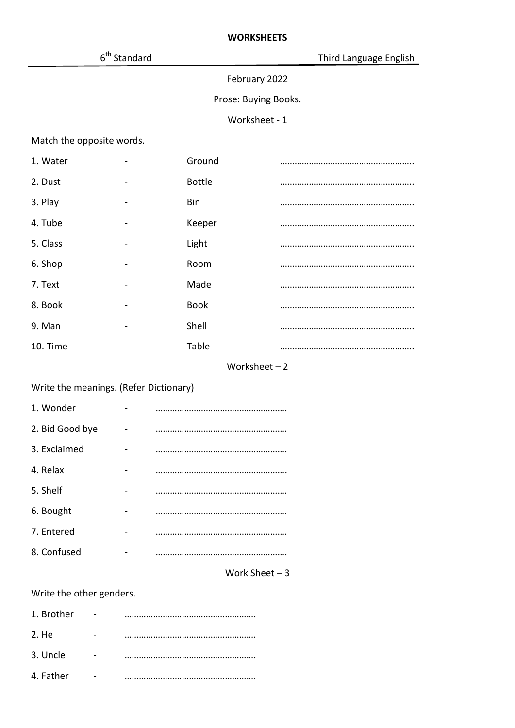$6<sup>th</sup>$  Standard

# February 2022

#### Prose: Buying Books.

#### Worksheet - 1

Match the opposite words.

| 1. Water |                          | Ground        |  |
|----------|--------------------------|---------------|--|
| 2. Dust  | $\overline{\phantom{0}}$ | <b>Bottle</b> |  |
| 3. Play  |                          | Bin           |  |
| 4. Tube  |                          | Keeper        |  |
| 5. Class |                          | Light         |  |
| 6. Shop  |                          | Room          |  |
| 7. Text  |                          | Made          |  |
| 8. Book  |                          | <b>Book</b>   |  |
| 9. Man   | $\overline{\phantom{0}}$ | Shell         |  |
| 10. Time |                          | Table         |  |

#### Worksheet – 2

# Write the meanings. (Refer Dictionary)

| 1. Wonder       |  |
|-----------------|--|
| 2. Bid Good bye |  |
| 3. Exclaimed    |  |
| 4. Relax        |  |
| 5. Shelf        |  |
| 6. Bought       |  |
| 7. Entered      |  |
| 8. Confused     |  |

#### Work Sheet – 3

# Write the other genders.

| 1. Brother |  |
|------------|--|
| 2. He      |  |
| 3. Uncle   |  |
| 4. Father  |  |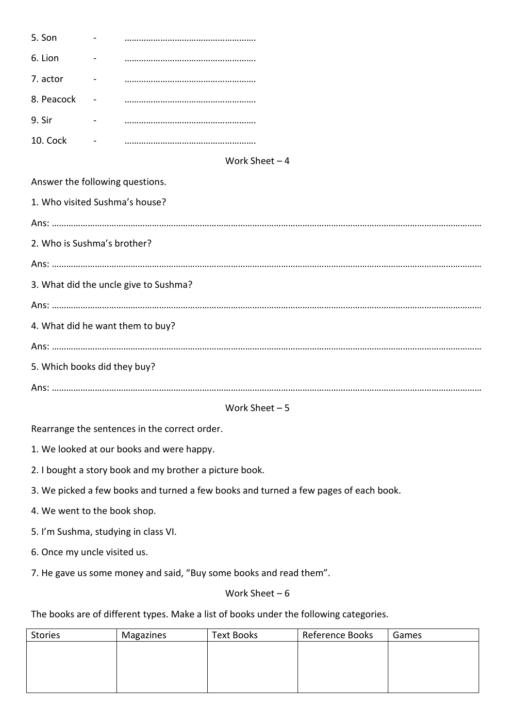| 5. Son     |  |
|------------|--|
| 6. Lion    |  |
| 7. actor   |  |
| 8. Peacock |  |
| 9. Sir     |  |
| 10. Cock   |  |

#### Work Sheet – 4

#### Answer the following questions.

| 1. Who visited Sushma's house?        |
|---------------------------------------|
|                                       |
| 2. Who is Sushma's brother?           |
|                                       |
| 3. What did the uncle give to Sushma? |
|                                       |
| 4. What did he want them to buy?      |
|                                       |
| 5. Which books did they buy?          |
|                                       |

#### Work Sheet – 5

Rearrange the sentences in the correct order.

1. We looked at our books and were happy.

2. I bought a story book and my brother a picture book.

3. We picked a few books and turned a few books and turned a few pages of each book.

4. We went to the book shop.

5. I'm Sushma, studying in class VI.

6. Once my uncle visited us.

7. He gave us some money and said, "Buy some books and read them".

#### Work Sheet – 6

The books are of different types. Make a list of books under the following categories.

| <b>Stories</b> | Magazines | Text Books | Reference Books | Games |
|----------------|-----------|------------|-----------------|-------|
|                |           |            |                 |       |
|                |           |            |                 |       |
|                |           |            |                 |       |
|                |           |            |                 |       |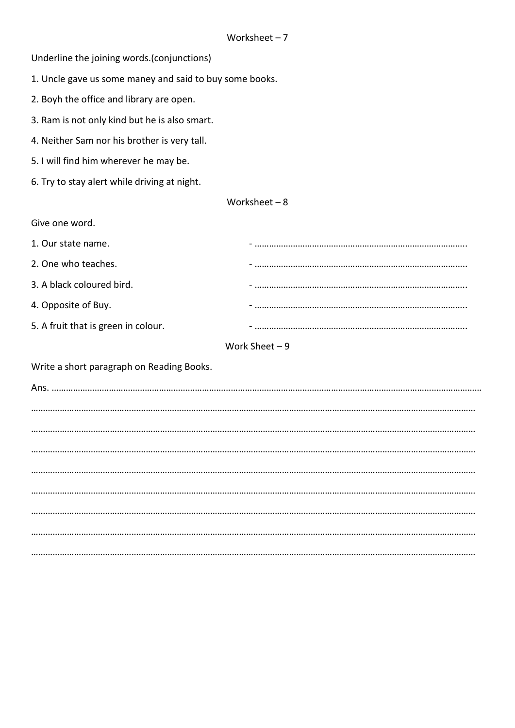Underline the joining words.(conjunctions)

1. Uncle gave us some maney and said to buy some books.

- 2. Boyh the office and library are open.
- 3. Ram is not only kind but he is also smart.
- 4. Neither Sam nor his brother is very tall.
- 5. I will find him wherever he may be.
- 6. Try to stay alert while driving at night.

#### Worksheet – 8

Give one word.

| 1. Our state name.                  |  |
|-------------------------------------|--|
| 2. One who teaches.                 |  |
| 3. A black coloured bird.           |  |
| 4. Opposite of Buy.                 |  |
| 5. A fruit that is green in colour. |  |

#### Work Sheet – 9

Write a short paragraph on Reading Books.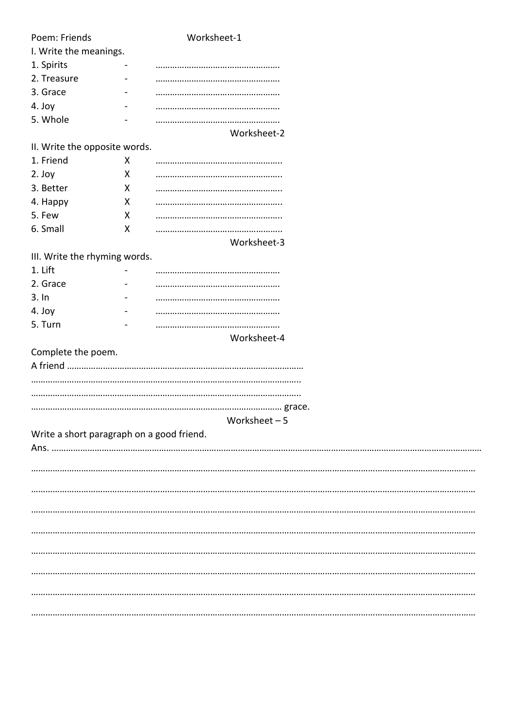| Poem: Friends                             |   | Worksheet-1    |  |
|-------------------------------------------|---|----------------|--|
| I. Write the meanings.                    |   |                |  |
| 1. Spirits                                |   |                |  |
| 2. Treasure                               |   |                |  |
| 3. Grace                                  |   |                |  |
| 4. Joy                                    |   |                |  |
| 5. Whole                                  |   |                |  |
|                                           |   | Worksheet-2    |  |
| II. Write the opposite words.             |   |                |  |
| 1. Friend                                 | X |                |  |
| 2. Joy                                    | X |                |  |
| 3. Better                                 | X |                |  |
| 4. Happy                                  | X |                |  |
| 5. Few                                    | X |                |  |
| 6. Small                                  | X |                |  |
|                                           |   | Worksheet-3    |  |
| III. Write the rhyming words.             |   |                |  |
| 1. Lift                                   |   |                |  |
| 2. Grace                                  |   |                |  |
| 3.1n                                      |   |                |  |
| 4. Joy                                    |   |                |  |
| 5. Turn                                   |   |                |  |
|                                           |   | Worksheet-4    |  |
| Complete the poem.                        |   |                |  |
|                                           |   |                |  |
|                                           |   |                |  |
|                                           |   |                |  |
|                                           |   |                |  |
|                                           |   | Worksheet $-5$ |  |
| Write a short paragraph on a good friend. |   |                |  |
|                                           |   |                |  |
|                                           |   |                |  |
|                                           |   |                |  |
|                                           |   |                |  |
|                                           |   |                |  |
|                                           |   |                |  |
|                                           |   |                |  |
|                                           |   |                |  |
|                                           |   |                |  |
|                                           |   |                |  |
|                                           |   |                |  |
|                                           |   |                |  |
|                                           |   |                |  |
|                                           |   |                |  |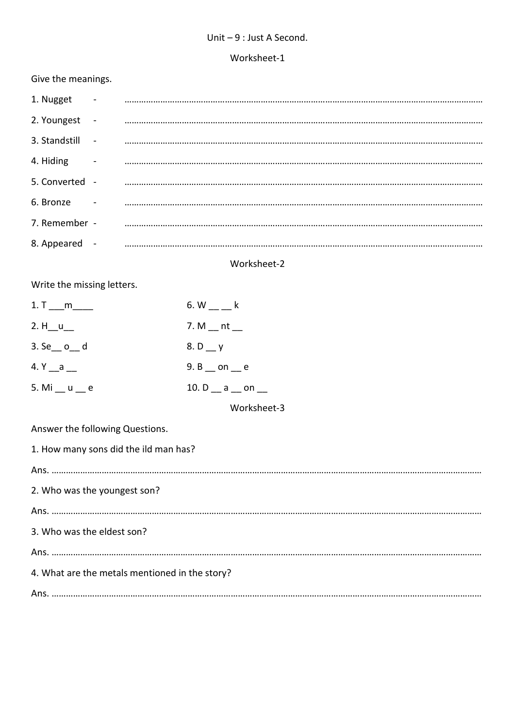#### Unit – 9 : Just A Second.

#### Worksheet-1

### Give the meanings.

| 1. Nugget      |        |  |
|----------------|--------|--|
| 2. Youngest    | $\sim$ |  |
| 3. Standstill  | $\sim$ |  |
| 4. Hiding      |        |  |
| 5. Converted - |        |  |
| 6. Bronze      |        |  |
| 7. Remember -  |        |  |
| 8. Appeared    |        |  |
|                |        |  |

# Worksheet-2

Write the missing letters.

| 1. T $\_$ m               | 6. W k                        |
|---------------------------|-------------------------------|
| 2. $H_{u} = u$            | 7. M $_{\rm m}$ nt $_{\rm m}$ |
| $3.$ Se_ $o$ _ d          | 8. D $_y$                     |
| 4. $Y_a = a$              | 9. B _ on _ e                 |
| 5. Mi $_{\_}$ u $_{\_}$ e | 10. $D_$ $a_$ $m_$            |

Worksheet-3

Answer the following Questions.

| 1. How many sons did the ild man has?          |
|------------------------------------------------|
|                                                |
| 2. Who was the youngest son?                   |
|                                                |
| 3. Who was the eldest son?                     |
|                                                |
| 4. What are the metals mentioned in the story? |
|                                                |